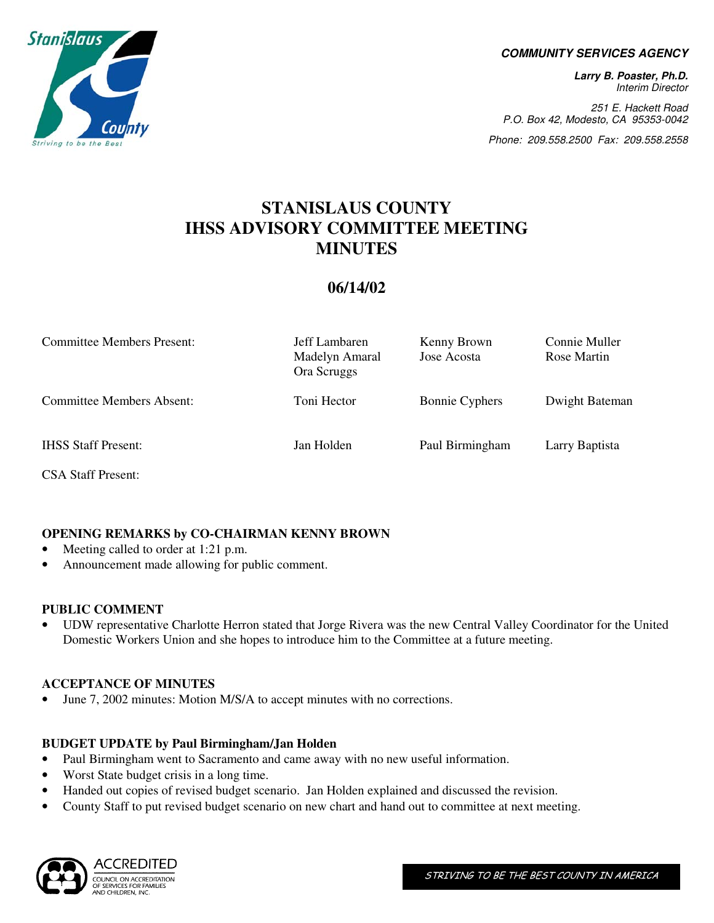

#### **COMMUNITY SERVICES AGENCY**

**Larry B. Poaster, Ph.D.**  Interim Director

251 E. Hackett Road P.O. Box 42, Modesto, CA 95353-0042

Phone: 209.558.2500 Fax: 209.558.2558

# **STANISLAUS COUNTY IHSS ADVISORY COMMITTEE MEETING MINUTES**

## **06/14/02**

| <b>Committee Members Present:</b> | Jeff Lambaren<br>Madelyn Amaral<br>Ora Scruggs | Kenny Brown<br>Jose Acosta | Connie Muller<br>Rose Martin |
|-----------------------------------|------------------------------------------------|----------------------------|------------------------------|
| <b>Committee Members Absent:</b>  | Toni Hector                                    | <b>Bonnie Cyphers</b>      | Dwight Bateman               |
| <b>IHSS Staff Present:</b>        | Jan Holden                                     | Paul Birmingham            | Larry Baptista               |

CSA Staff Present:

## **OPENING REMARKS by CO-CHAIRMAN KENNY BROWN**

- Meeting called to order at 1:21 p.m.
- Announcement made allowing for public comment.

#### **PUBLIC COMMENT**

• UDW representative Charlotte Herron stated that Jorge Rivera was the new Central Valley Coordinator for the United Domestic Workers Union and she hopes to introduce him to the Committee at a future meeting.

#### **ACCEPTANCE OF MINUTES**

• June 7, 2002 minutes: Motion M/S/A to accept minutes with no corrections.

## **BUDGET UPDATE by Paul Birmingham/Jan Holden**

- Paul Birmingham went to Sacramento and came away with no new useful information.
- Worst State budget crisis in a long time.
- Handed out copies of revised budget scenario. Jan Holden explained and discussed the revision.
- County Staff to put revised budget scenario on new chart and hand out to committee at next meeting.

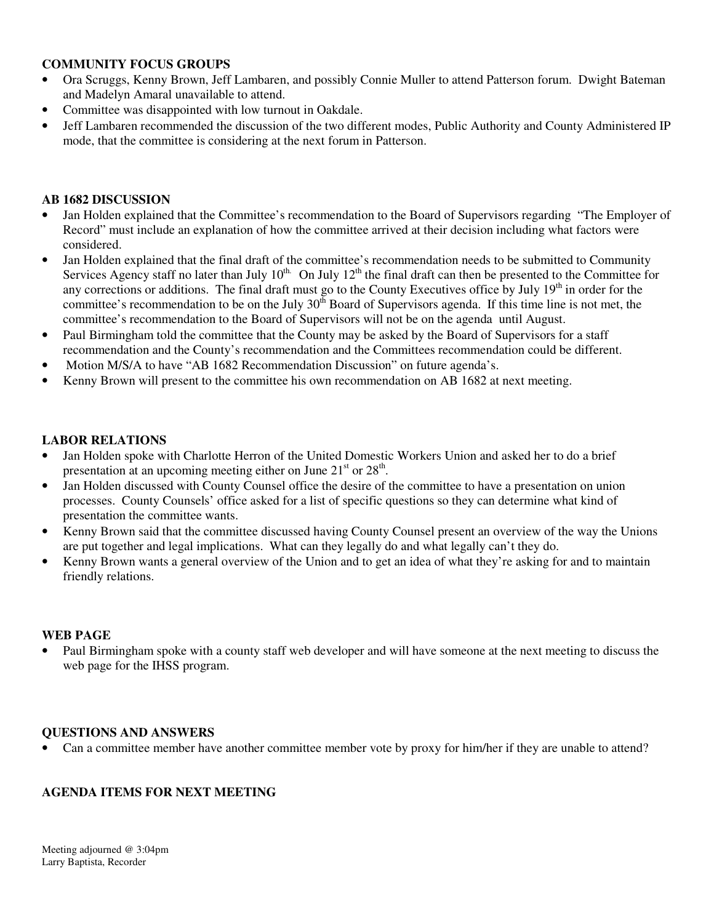## **COMMUNITY FOCUS GROUPS**

- Ora Scruggs, Kenny Brown, Jeff Lambaren, and possibly Connie Muller to attend Patterson forum. Dwight Bateman and Madelyn Amaral unavailable to attend.
- Committee was disappointed with low turnout in Oakdale.
- Jeff Lambaren recommended the discussion of the two different modes, Public Authority and County Administered IP mode, that the committee is considering at the next forum in Patterson.

## **AB 1682 DISCUSSION**

- Jan Holden explained that the Committee's recommendation to the Board of Supervisors regarding "The Employer of Record" must include an explanation of how the committee arrived at their decision including what factors were considered.
- Jan Holden explained that the final draft of the committee's recommendation needs to be submitted to Community Services Agency staff no later than July  $10^{th}$ . On July  $12^{th}$  the final draft can then be presented to the Committee for any corrections or additions. The final draft must go to the County Executives office by July  $19<sup>th</sup>$  in order for the committee's recommendation to be on the July  $30<sup>th</sup>$  Board of Supervisors agenda. If this time line is not met, the committee's recommendation to the Board of Supervisors will not be on the agenda until August.
- Paul Birmingham told the committee that the County may be asked by the Board of Supervisors for a staff recommendation and the County's recommendation and the Committees recommendation could be different.
- Motion M/S/A to have "AB 1682 Recommendation Discussion" on future agenda's.
- Kenny Brown will present to the committee his own recommendation on AB 1682 at next meeting.

#### **LABOR RELATIONS**

- Jan Holden spoke with Charlotte Herron of the United Domestic Workers Union and asked her to do a brief presentation at an upcoming meeting either on June  $21<sup>st</sup>$  or  $28<sup>th</sup>$ .
- Jan Holden discussed with County Counsel office the desire of the committee to have a presentation on union processes. County Counsels' office asked for a list of specific questions so they can determine what kind of presentation the committee wants.
- Kenny Brown said that the committee discussed having County Counsel present an overview of the way the Unions are put together and legal implications. What can they legally do and what legally can't they do.
- Kenny Brown wants a general overview of the Union and to get an idea of what they're asking for and to maintain friendly relations.

#### **WEB PAGE**

• Paul Birmingham spoke with a county staff web developer and will have someone at the next meeting to discuss the web page for the IHSS program.

#### **QUESTIONS AND ANSWERS**

• Can a committee member have another committee member vote by proxy for him/her if they are unable to attend?

## **AGENDA ITEMS FOR NEXT MEETING**